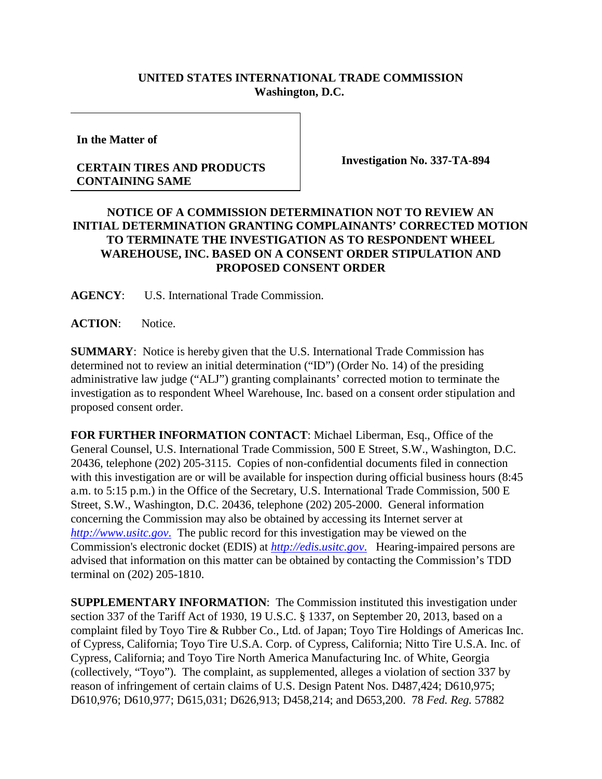## **UNITED STATES INTERNATIONAL TRADE COMMISSION Washington, D.C.**

**In the Matter of**

## **CERTAIN TIRES AND PRODUCTS CONTAINING SAME**

**Investigation No. 337-TA-894**

## **NOTICE OF A COMMISSION DETERMINATION NOT TO REVIEW AN INITIAL DETERMINATION GRANTING COMPLAINANTS' CORRECTED MOTION TO TERMINATE THE INVESTIGATION AS TO RESPONDENT WHEEL WAREHOUSE, INC. BASED ON A CONSENT ORDER STIPULATION AND PROPOSED CONSENT ORDER**

**AGENCY**: U.S. International Trade Commission.

**ACTION**: Notice.

**SUMMARY**: Notice is hereby given that the U.S. International Trade Commission has determined not to review an initial determination ("ID") (Order No. 14) of the presiding administrative law judge ("ALJ") granting complainants' corrected motion to terminate the investigation as to respondent Wheel Warehouse, Inc. based on a consent order stipulation and proposed consent order.

**FOR FURTHER INFORMATION CONTACT**: Michael Liberman, Esq., Office of the General Counsel, U.S. International Trade Commission, 500 E Street, S.W., Washington, D.C. 20436, telephone (202) 205-3115. Copies of non-confidential documents filed in connection with this investigation are or will be available for inspection during official business hours (8:45) a.m. to 5:15 p.m.) in the Office of the Secretary, U.S. International Trade Commission, 500 E Street, S.W., Washington, D.C. 20436, telephone (202) 205-2000. General information concerning the Commission may also be obtained by accessing its Internet server at *[http://www.usitc.gov](http://www.usitc.gov./)*. The public record for this investigation may be viewed on the Commission's electronic docket (EDIS) at *[http://edis.usitc.gov](http://edis.usitc.gov./)*. Hearing-impaired persons are advised that information on this matter can be obtained by contacting the Commission's TDD terminal on (202) 205-1810.

**SUPPLEMENTARY INFORMATION**: The Commission instituted this investigation under section 337 of the Tariff Act of 1930, 19 U.S.C. § 1337, on September 20, 2013, based on a complaint filed by Toyo Tire & Rubber Co., Ltd. of Japan; Toyo Tire Holdings of Americas Inc. of Cypress, California; Toyo Tire U.S.A. Corp. of Cypress, California; Nitto Tire U.S.A. Inc. of Cypress, California; and Toyo Tire North America Manufacturing Inc. of White, Georgia (collectively, "Toyo"). The complaint, as supplemented, alleges a violation of section 337 by reason of infringement of certain claims of U.S. Design Patent Nos. D487,424; D610,975; D610,976; D610,977; D615,031; D626,913; D458,214; and D653,200. 78 *Fed. Reg.* 57882